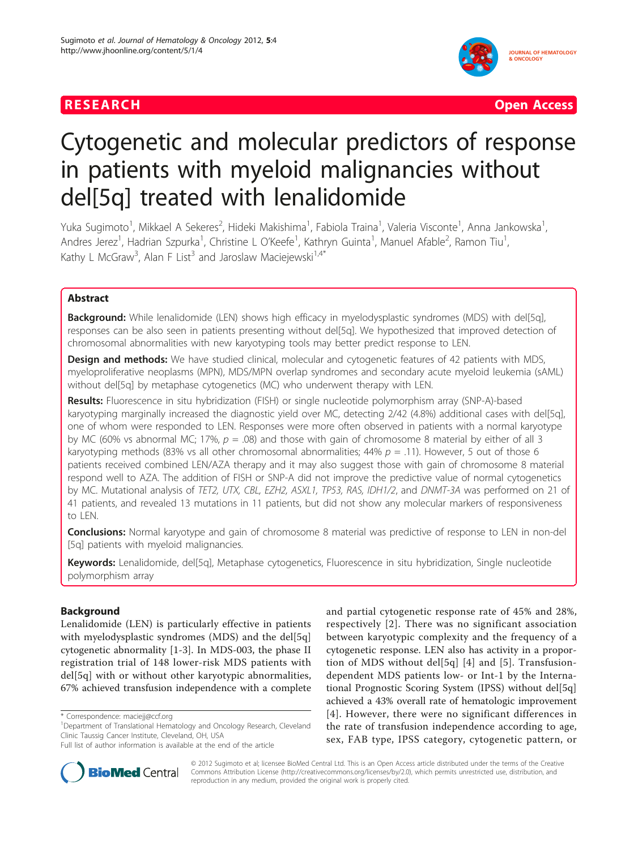## **RESEARCH Open Access**



# Cytogenetic and molecular predictors of response in patients with myeloid malignancies without del[5q] treated with lenalidomide

Yuka Sugimoto<sup>1</sup>, Mikkael A Sekeres<sup>2</sup>, Hideki Makishima<sup>1</sup>, Fabiola Traina<sup>1</sup>, Valeria Visconte<sup>1</sup>, Anna Jankowska<sup>1</sup> , Andres Jerez<sup>1</sup>, Hadrian Szpurka<sup>1</sup>, Christine L O'Keefe<sup>1</sup>, Kathryn Guinta<sup>1</sup>, Manuel Afable<sup>2</sup>, Ramon Tiu<sup>1</sup> , Kathy L McGraw<sup>3</sup>, Alan F List<sup>3</sup> and Jaroslaw Maciejewski<sup>1,4\*</sup>

## Abstract

Background: While lenalidomide (LEN) shows high efficacy in myelodysplastic syndromes (MDS) with del[5q], responses can be also seen in patients presenting without del[5q]. We hypothesized that improved detection of chromosomal abnormalities with new karyotyping tools may better predict response to LEN.

**Design and methods:** We have studied clinical, molecular and cytogenetic features of 42 patients with MDS, myeloproliferative neoplasms (MPN), MDS/MPN overlap syndromes and secondary acute myeloid leukemia (sAML) without del[5q] by metaphase cytogenetics (MC) who underwent therapy with LEN.

Results: Fluorescence in situ hybridization (FISH) or single nucleotide polymorphism array (SNP-A)-based karyotyping marginally increased the diagnostic yield over MC, detecting 2/42 (4.8%) additional cases with del[5q], one of whom were responded to LEN. Responses were more often observed in patients with a normal karyotype by MC (60% vs abnormal MC; 17%,  $p = .08$ ) and those with gain of chromosome 8 material by either of all 3 karyotyping methods (83% vs all other chromosomal abnormalities;  $44%$   $p = .11$ ). However, 5 out of those 6 patients received combined LEN/AZA therapy and it may also suggest those with gain of chromosome 8 material respond well to AZA. The addition of FISH or SNP-A did not improve the predictive value of normal cytogenetics by MC. Mutational analysis of TET2, UTX, CBL, EZH2, ASXL1, TP53, RAS, IDH1/2, and DNMT-3A was performed on 21 of 41 patients, and revealed 13 mutations in 11 patients, but did not show any molecular markers of responsiveness to LEN.

**Conclusions:** Normal karyotype and gain of chromosome 8 material was predictive of response to LEN in non-del [5q] patients with myeloid malignancies.

Keywords: Lenalidomide, del[5q], Metaphase cytogenetics, Fluorescence in situ hybridization, Single nucleotide polymorphism array

## Background

Lenalidomide (LEN) is particularly effective in patients with myelodysplastic syndromes (MDS) and the del[5q] cytogenetic abnormality [[1-3](#page-8-0)]. In MDS-003, the phase II registration trial of 148 lower-risk MDS patients with del[5q] with or without other karyotypic abnormalities, 67% achieved transfusion independence with a complete and partial cytogenetic response rate of 45% and 28%, respectively [[2](#page-8-0)]. There was no significant association between karyotypic complexity and the frequency of a cytogenetic response. LEN also has activity in a proportion of MDS without del[5q] [\[4\]](#page-8-0) and [[5\]](#page-8-0). Transfusiondependent MDS patients low- or Int-1 by the International Prognostic Scoring System (IPSS) without del[5q] achieved a 43% overall rate of hematologic improvement [[4](#page-8-0)]. However, there were no significant differences in the rate of transfusion independence according to age, sex, FAB type, IPSS category, cytogenetic pattern, or



© 2012 Sugimoto et al; licensee BioMed Central Ltd. This is an Open Access article distributed under the terms of the Creative Commons Attribution License [\(http://creativecommons.org/licenses/by/2.0](http://creativecommons.org/licenses/by/2.0)), which permits unrestricted use, distribution, and reproduction in any medium, provided the original work is properly cited.

<sup>\*</sup> Correspondence: [maciejj@ccf.org](mailto:maciejj@ccf.org)

<sup>&</sup>lt;sup>1</sup>Department of Translational Hematology and Oncology Research, Cleveland Clinic Taussig Cancer Institute, Cleveland, OH, USA

Full list of author information is available at the end of the article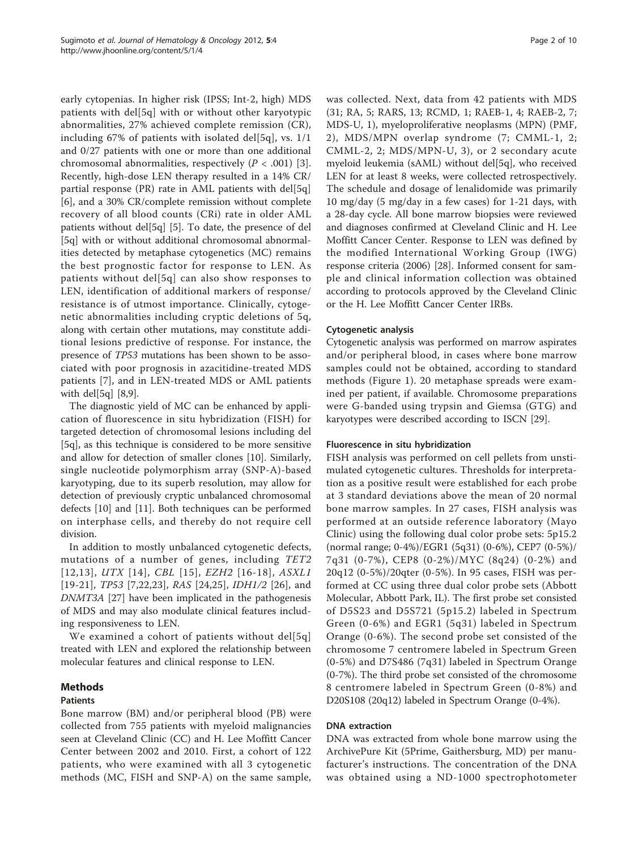early cytopenias. In higher risk (IPSS; Int-2, high) MDS patients with del[5q] with or without other karyotypic abnormalities, 27% achieved complete remission (CR), including 67% of patients with isolated del[5q], vs.  $1/1$ and 0/27 patients with one or more than one additional chromosomal abnormalities, respectively  $(P < .001)$  [[3](#page-8-0)]. Recently, high-dose LEN therapy resulted in a 14% CR/ partial response (PR) rate in AML patients with del[5q] [[6\]](#page-8-0), and a 30% CR/complete remission without complete recovery of all blood counts (CRi) rate in older AML patients without del[5q] [\[5](#page-8-0)]. To date, the presence of del [5q] with or without additional chromosomal abnormalities detected by metaphase cytogenetics (MC) remains the best prognostic factor for response to LEN. As patients without del[5q] can also show responses to LEN, identification of additional markers of response/ resistance is of utmost importance. Clinically, cytogenetic abnormalities including cryptic deletions of 5q, along with certain other mutations, may constitute additional lesions predictive of response. For instance, the presence of TP53 mutations has been shown to be associated with poor prognosis in azacitidine-treated MDS patients [\[7](#page-8-0)], and in LEN-treated MDS or AML patients with del[5q] [[8,9](#page-8-0)].

The diagnostic yield of MC can be enhanced by application of fluorescence in situ hybridization (FISH) for targeted detection of chromosomal lesions including del [5q], as this technique is considered to be more sensitive and allow for detection of smaller clones [[10](#page-9-0)]. Similarly, single nucleotide polymorphism array (SNP-A)-based karyotyping, due to its superb resolution, may allow for detection of previously cryptic unbalanced chromosomal defects [\[10](#page-9-0)] and [\[11\]](#page-9-0). Both techniques can be performed on interphase cells, and thereby do not require cell division.

In addition to mostly unbalanced cytogenetic defects, mutations of a number of genes, including TET2 [[12](#page-9-0),[13](#page-9-0)], UTX [[14](#page-9-0)], CBL [[15\]](#page-9-0), EZH2 [[16-18\]](#page-9-0), ASXL1 [[19](#page-9-0)-[21](#page-9-0)], TP53 [[7](#page-8-0)[,22,23](#page-9-0)], RAS [[24,25](#page-9-0)], IDH1/2 [[26](#page-9-0)], and DNMT3A [[27\]](#page-9-0) have been implicated in the pathogenesis of MDS and may also modulate clinical features including responsiveness to LEN.

We examined a cohort of patients without del[5q] treated with LEN and explored the relationship between molecular features and clinical response to LEN.

## Methods

## Patients

Bone marrow (BM) and/or peripheral blood (PB) were collected from 755 patients with myeloid malignancies seen at Cleveland Clinic (CC) and H. Lee Moffitt Cancer Center between 2002 and 2010. First, a cohort of 122 patients, who were examined with all 3 cytogenetic methods (MC, FISH and SNP-A) on the same sample, was collected. Next, data from 42 patients with MDS (31; RA, 5; RARS, 13; RCMD, 1; RAEB-1, 4; RAEB-2, 7; MDS-U, 1), myeloproliferative neoplasms (MPN) (PMF, 2), MDS/MPN overlap syndrome (7; CMML-1, 2; CMML-2, 2; MDS/MPN-U, 3), or 2 secondary acute myeloid leukemia (sAML) without del[5q], who received LEN for at least 8 weeks, were collected retrospectively. The schedule and dosage of lenalidomide was primarily 10 mg/day (5 mg/day in a few cases) for 1-21 days, with a 28-day cycle. All bone marrow biopsies were reviewed and diagnoses confirmed at Cleveland Clinic and H. Lee Moffitt Cancer Center. Response to LEN was defined by the modified International Working Group (IWG) response criteria (2006) [[28](#page-9-0)]. Informed consent for sample and clinical information collection was obtained according to protocols approved by the Cleveland Clinic or the H. Lee Moffitt Cancer Center IRBs.

## Cytogenetic analysis

Cytogenetic analysis was performed on marrow aspirates and/or peripheral blood, in cases where bone marrow samples could not be obtained, according to standard methods (Figure [1](#page-2-0)). 20 metaphase spreads were examined per patient, if available. Chromosome preparations were G-banded using trypsin and Giemsa (GTG) and karyotypes were described according to ISCN [[29](#page-9-0)].

## Fluorescence in situ hybridization

FISH analysis was performed on cell pellets from unstimulated cytogenetic cultures. Thresholds for interpretation as a positive result were established for each probe at 3 standard deviations above the mean of 20 normal bone marrow samples. In 27 cases, FISH analysis was performed at an outside reference laboratory (Mayo Clinic) using the following dual color probe sets: 5p15.2 (normal range; 0-4%)/EGR1 (5q31) (0-6%), CEP7 (0-5%)/ 7q31 (0-7%), CEP8 (0-2%)/MYC (8q24) (0-2%) and 20q12 (0-5%)/20qter (0-5%). In 95 cases, FISH was performed at CC using three dual color probe sets (Abbott Molecular, Abbott Park, IL). The first probe set consisted of D5S23 and D5S721 (5p15.2) labeled in Spectrum Green (0-6%) and EGR1 (5q31) labeled in Spectrum Orange (0-6%). The second probe set consisted of the chromosome 7 centromere labeled in Spectrum Green (0-5%) and D7S486 (7q31) labeled in Spectrum Orange (0-7%). The third probe set consisted of the chromosome 8 centromere labeled in Spectrum Green (0-8%) and D20S108 (20q12) labeled in Spectrum Orange (0-4%).

## DNA extraction

DNA was extracted from whole bone marrow using the ArchivePure Kit (5Prime, Gaithersburg, MD) per manufacturer's instructions. The concentration of the DNA was obtained using a ND-1000 spectrophotometer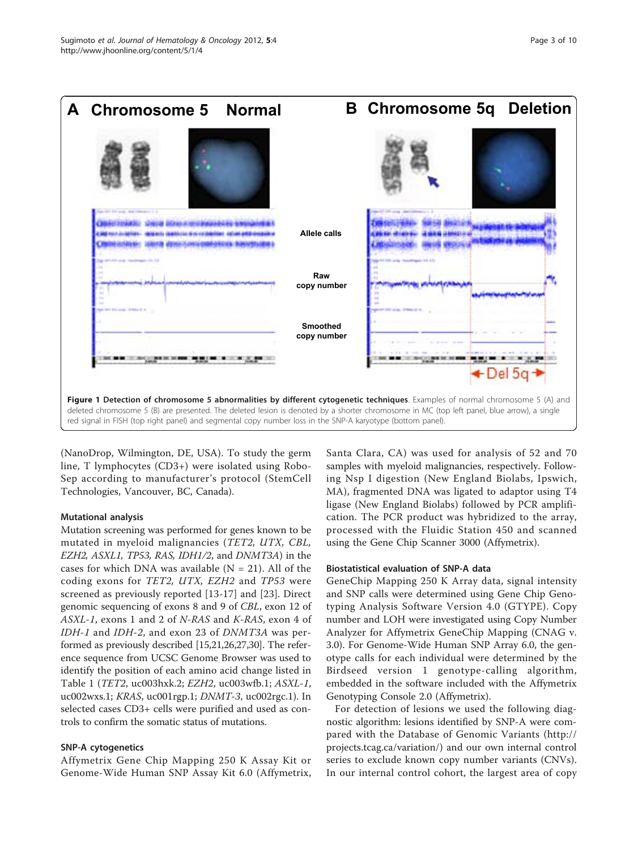<span id="page-2-0"></span>

(NanoDrop, Wilmington, DE, USA). To study the germ line, T lymphocytes (CD3+) were isolated using Robo-Sep according to manufacturer's protocol (StemCell Technologies, Vancouver, BC, Canada).

#### Mutational analysis

Mutation screening was performed for genes known to be mutated in myeloid malignancies (TET2, UTX, CBL, EZH2, ASXL1, TP53, RAS, IDH1/2, and DNMT3A) in the cases for which DNA was available  $(N = 21)$ . All of the coding exons for TET2, UTX, EZH2 and TP53 were screened as previously reported [[13-17](#page-9-0)] and [\[23](#page-9-0)]. Direct genomic sequencing of exons 8 and 9 of CBL, exon 12 of ASXL-1, exons 1 and 2 of N-RAS and K-RAS, exon 4 of IDH-1 and IDH-2, and exon 23 of DNMT3A was performed as previously described [[15,21,26,27,30\]](#page-9-0). The reference sequence from UCSC Genome Browser was used to identify the position of each amino acid change listed in Table [1](#page-3-0) (TET2, uc003hxk.2; EZH2, uc003wfb.1; ASXL-1, uc002wxs.1; KRAS, uc001rgp.1; DNMT-3, uc002rgc.1). In selected cases CD3+ cells were purified and used as controls to confirm the somatic status of mutations.

## SNP-A cytogenetics

Affymetrix Gene Chip Mapping 250 K Assay Kit or Genome-Wide Human SNP Assay Kit 6.0 (Affymetrix, Santa Clara, CA) was used for analysis of 52 and 70 samples with myeloid malignancies, respectively. Following Nsp I digestion (New England Biolabs, Ipswich, MA), fragmented DNA was ligated to adaptor using T4 ligase (New England Biolabs) followed by PCR amplification. The PCR product was hybridized to the array, processed with the Fluidic Station 450 and scanned using the Gene Chip Scanner 3000 (Affymetrix).

#### Biostatistical evaluation of SNP-A data

GeneChip Mapping 250 K Array data, signal intensity and SNP calls were determined using Gene Chip Genotyping Analysis Software Version 4.0 (GTYPE). Copy number and LOH were investigated using Copy Number Analyzer for Affymetrix GeneChip Mapping (CNAG v. 3.0). For Genome-Wide Human SNP Array 6.0, the genotype calls for each individual were determined by the Birdseed version 1 genotype-calling algorithm, embedded in the software included with the Affymetrix Genotyping Console 2.0 (Affymetrix).

For detection of lesions we used the following diagnostic algorithm: lesions identified by SNP-A were compared with the Database of Genomic Variants ([http://](http://projects.tcag.ca/variation/) [projects.tcag.ca/variation/\)](http://projects.tcag.ca/variation/) and our own internal control series to exclude known copy number variants (CNVs). In our internal control cohort, the largest area of copy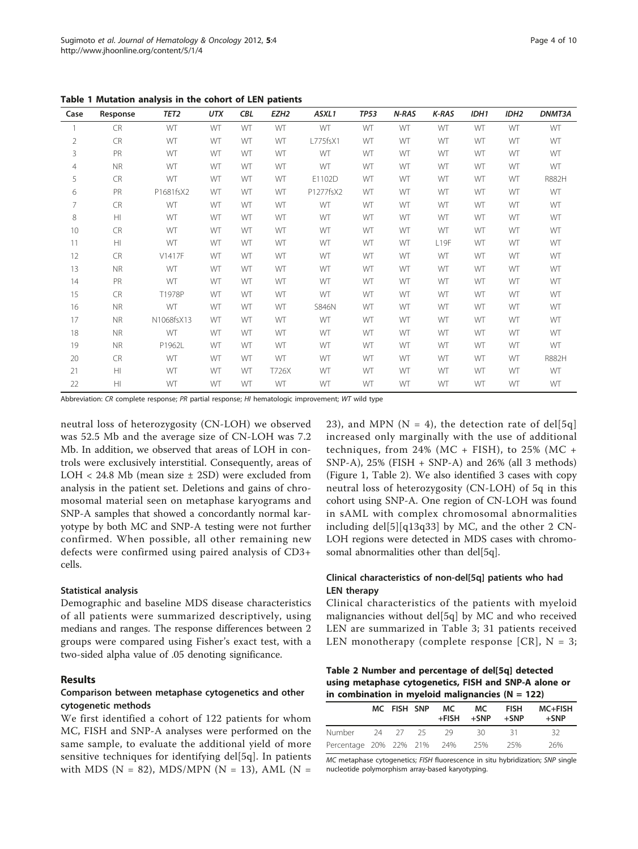| Case           | Response  | TET <sub>2</sub> | <b>UTX</b> | <b>CBL</b> | EZH <sub>2</sub> | ASXL1        | <b>TP53</b> | N-RAS | K-RAS            | IDH1 | IDH <sub>2</sub> | DNMT3A |
|----------------|-----------|------------------|------------|------------|------------------|--------------|-------------|-------|------------------|------|------------------|--------|
|                | <b>CR</b> | WT               | WT         | WT         | WT               | WT           | WT          | WT    | WT               | WT   | WT               | WT     |
| 2              | <b>CR</b> | WT               | WT         | WT         | WT               | L775fsX1     | WT          | WT    | WT               | WT   | WT               | WT     |
| 3              | PR        | WT               | WT         | WT         | WT               | WT           | WT          | WT    | WT               | WT   | WT               | WT     |
| $\overline{4}$ | <b>NR</b> | WT               | WT         | WT         | WT               | WT           | WT          | WT    | WT               | WT   | WT               | WT     |
| 5              | <b>CR</b> | WT               | WT         | WT         | WT               | E1102D       | WT          | WT    | WT               | WT   | WT               | R882H  |
| 6              | PR        | P1681fsX2        | WT         | WT         | WT               | P1277fsX2    | WT          | WT    | WT               | WT   | WT               | WT     |
| $\overline{7}$ | <b>CR</b> | WT               | WT         | WT         | WT               | WT           | WT          | WT    | WT               | WT   | WT               | WT     |
| 8              | H         | WT               | WT         | WT         | WT               | WT           | WT          | WT    | WT               | WT   | WT               | WT     |
| 10             | <b>CR</b> | WT               | WT         | WT         | WT               | WT           | WT          | WT    | WT               | WT   | WT               | WT     |
| 11             | HI        | WT               | WT         | WT         | WT               | WT           | WT          | WT    | L <sub>19F</sub> | WT   | WT               | WT     |
| 12             | <b>CR</b> | V1417F           | WT         | WT         | WT               | WT           | WT          | WT    | WT               | WT   | WT               | WT     |
| 13             | <b>NR</b> | WT               | WT         | WT         | WT               | WT           | WT          | WT    | WT               | WT   | WT               | WT     |
| 14             | PR        | WT               | WT         | WT         | WT               | WT           | WT          | WT    | WT               | WT   | WT               | WT     |
| 15             | <b>CR</b> | T1978P           | WT         | WT         | WT               | WT           | WT          | WT    | WT               | WT   | WT               | WT     |
| 16             | <b>NR</b> | WT               | WT         | WT         | WT               | <b>S846N</b> | WT          | WT    | WT               | WT   | WT               | WT     |
| 17             | <b>NR</b> | N1068fsX13       | WT         | WT         | WT               | WT           | WT          | WT    | WT               | WT   | WT               | WT     |
| 18             | <b>NR</b> | WT               | WT         | WT         | WT               | WT           | WT          | WT    | WT               | WT   | WT               | WT     |
| 19             | <b>NR</b> | P1962L           | WT         | WT         | WT               | WT           | WT          | WT    | WT               | WT   | WT               | WT     |
| 20             | <b>CR</b> | WT               | WT         | WT         | WT               | WT           | WT          | WT    | WT               | WT   | WT               | R882H  |
| 21             | H         | WT               | WT         | WT         | T726X            | WT           | WT          | WT    | WT               | WT   | WT               | WT     |
| 22             | H         | WT               | WT         | WT         | WT               | WT           | WT          | WT    | WT               | WT   | WT               | WT     |

<span id="page-3-0"></span>Table 1 Mutation analysis in the cohort of LEN patients

Abbreviation: CR complete response; PR partial response; HI hematologic improvement; WT wild type

neutral loss of heterozygosity (CN-LOH) we observed was 52.5 Mb and the average size of CN-LOH was 7.2 Mb. In addition, we observed that areas of LOH in controls were exclusively interstitial. Consequently, areas of LOH < 24.8 Mb (mean size ± 2SD) were excluded from analysis in the patient set. Deletions and gains of chromosomal material seen on metaphase karyograms and SNP-A samples that showed a concordantly normal karyotype by both MC and SNP-A testing were not further confirmed. When possible, all other remaining new defects were confirmed using paired analysis of CD3+ cells.

#### Statistical analysis

Demographic and baseline MDS disease characteristics of all patients were summarized descriptively, using medians and ranges. The response differences between 2 groups were compared using Fisher's exact test, with a two-sided alpha value of .05 denoting significance.

#### Results

## Comparison between metaphase cytogenetics and other cytogenetic methods

We first identified a cohort of 122 patients for whom MC, FISH and SNP-A analyses were performed on the same sample, to evaluate the additional yield of more sensitive techniques for identifying del[5q]. In patients with MDS (N = 82), MDS/MPN (N = 13), AML (N = 23), and MPN ( $N = 4$ ), the detection rate of del[5q] increased only marginally with the use of additional techniques, from  $24\%$  (MC + FISH), to  $25\%$  (MC + SNP-A), 25% (FISH + SNP-A) and 26% (all 3 methods) (Figure [1,](#page-2-0) Table 2). We also identified 3 cases with copy neutral loss of heterozygosity (CN-LOH) of 5q in this cohort using SNP-A. One region of CN-LOH was found in sAML with complex chromosomal abnormalities including del $[5][q13q33]$  by MC, and the other 2 CN-LOH regions were detected in MDS cases with chromosomal abnormalities other than del[5q].

## Clinical characteristics of non-del[5q] patients who had LEN therapy

Clinical characteristics of the patients with myeloid malignancies without del[5q] by MC and who received LEN are summarized in Table [3;](#page-4-0) 31 patients received LEN monotherapy (complete response [CR],  $N = 3$ ;

Table 2 Number and percentage of del[5q] detected using metaphase cytogenetics, FISH and SNP-A alone or in combination in myeloid malignancies ( $N = 122$ )

|                                |  | MC FISH SNP MC<br>$+$ FISH $+$ SNP | MC.  | <b>FISH</b><br>+SNP | <b>MC+FISH</b><br>$+$ SNP |
|--------------------------------|--|------------------------------------|------|---------------------|---------------------------|
| Number                         |  | - 24 27 25 29                      | - 30 | - 31                | -32                       |
| Percentage 20% 22% 21% 24% 25% |  |                                    |      | 25%                 | 26%                       |

MC metaphase cytogenetics; FISH fluorescence in situ hybridization; SNP single nucleotide polymorphism array-based karyotyping.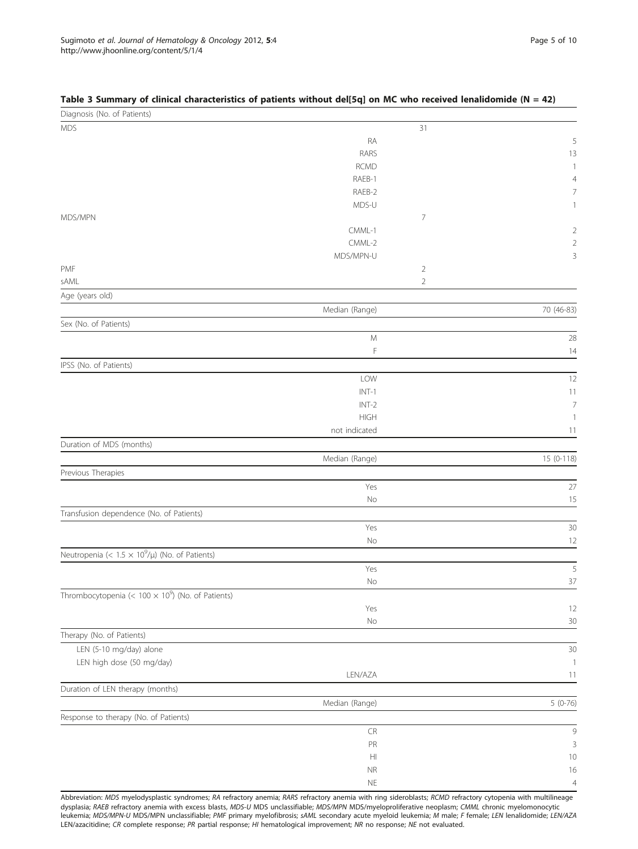| Diagnosis (No. of Patients)                               |                      |                |                |
|-----------------------------------------------------------|----------------------|----------------|----------------|
| <b>MDS</b>                                                |                      | 31             |                |
|                                                           | RA                   |                | 5              |
|                                                           | RARS                 |                | 13             |
|                                                           | <b>RCMD</b>          |                | $\mathbf{1}$   |
|                                                           | RAEB-1               |                | $\overline{4}$ |
|                                                           | RAEB-2               |                | 7              |
|                                                           | MDS-U                |                |                |
| MDS/MPN                                                   | CMML-1               | 7              |                |
|                                                           | CMML-2               |                | 2<br>2         |
|                                                           | MDS/MPN-U            |                | 3              |
| PMF                                                       |                      | $\overline{2}$ |                |
| sAML                                                      |                      | $\sqrt{2}$     |                |
| Age (years old)                                           |                      |                |                |
|                                                           | Median (Range)       |                | 70 (46-83)     |
| Sex (No. of Patients)                                     |                      |                |                |
|                                                           | ${\mathsf M}$        |                | 28             |
|                                                           | F                    |                | 14             |
| IPSS (No. of Patients)                                    |                      |                |                |
|                                                           | LOW                  |                | 12             |
|                                                           | $INT-1$              |                | 11             |
|                                                           | $INT-2$              |                | $\overline{7}$ |
|                                                           | <b>HIGH</b>          |                | $\mathbf{1}$   |
|                                                           | not indicated        |                | 11             |
| Duration of MDS (months)                                  |                      |                |                |
|                                                           | Median (Range)       |                | 15 (0-118)     |
| Previous Therapies                                        |                      |                |                |
|                                                           | Yes                  |                | 27             |
|                                                           | No                   |                | 15             |
| Transfusion dependence (No. of Patients)                  |                      |                |                |
|                                                           | Yes                  |                | 30             |
|                                                           | No                   |                | 12             |
| Neutropenia (< $1.5 \times 10^9/\mu$ ) (No. of Patients)  |                      |                |                |
|                                                           | Yes                  |                | 5              |
|                                                           | No                   |                | 37             |
| Thrombocytopenia (< $100 \times 10^9$ ) (No. of Patients) | Yes                  |                | 12             |
|                                                           | No                   |                | 30             |
| Therapy (No. of Patients)                                 |                      |                |                |
| LEN (5-10 mg/day) alone                                   |                      |                | 30             |
| LEN high dose (50 mg/day)                                 |                      |                | $\mathbf{1}$   |
|                                                           | LEN/AZA              |                | 11             |
| Duration of LEN therapy (months)                          |                      |                |                |
|                                                           | Median (Range)       |                | $5(0-76)$      |
| Response to therapy (No. of Patients)                     |                      |                |                |
|                                                           | ${\sf CR}$           |                | $\mathcal{G}$  |
|                                                           | ${\sf PR}$           |                | 3              |
|                                                           | $\mathbb H\mathbb I$ |                | 10             |
|                                                           | $\sf NR$             |                | 16             |
|                                                           | $\mathsf{NE}\xspace$ |                | $\overline{4}$ |

#### <span id="page-4-0"></span>Table 3 Summary of clinical characteristics of patients without del[5q] on MC who received lenalidomide (N = 42)

Abbreviation: MDS myelodysplastic syndromes; RA refractory anemia; RARS refractory anemia with ring sideroblasts; RCMD refractory cytopenia with multilineage dysplasia; RAEB refractory anemia with excess blasts, MDS-U MDS unclassifiable; MDS/MPN MDS/myeloproliferative neoplasm; CMML chronic myelomonocytic leukemia; MDS/MPN-U MDS/MPN unclassifiable; PMF primary myelofibrosis; sAML secondary acute myeloid leukemia; M male; F female; LEN lenalidomide; LEN/AZA LEN/azacitidine; CR complete response; PR partial response; HI hematological improvement; NR no response; NE not evaluated.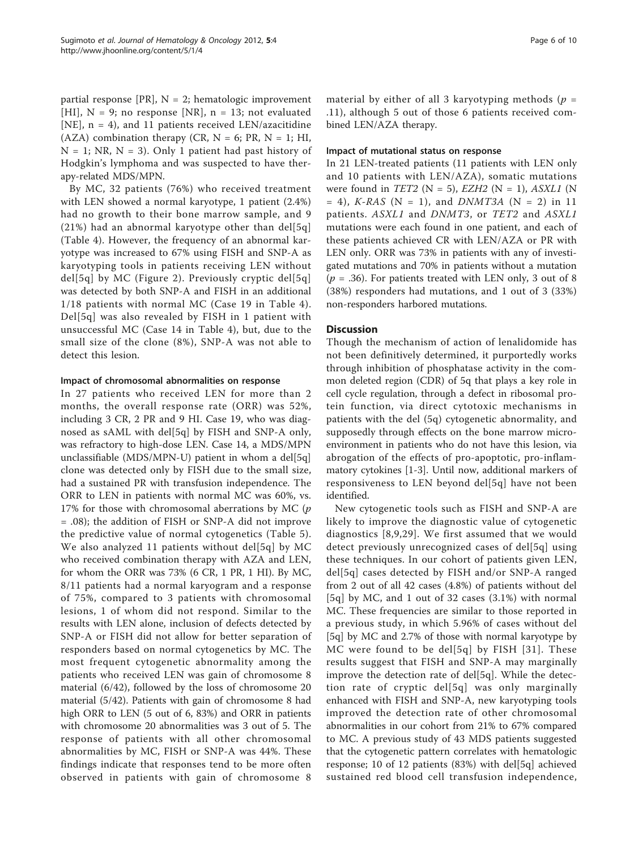partial response [PR],  $N = 2$ ; hematologic improvement [HI],  $N = 9$ ; no response [NR],  $n = 13$ ; not evaluated [NE],  $n = 4$ ), and 11 patients received LEN/azacitidine (AZA) combination therapy (CR,  $N = 6$ ; PR,  $N = 1$ ; HI,  $N = 1$ ; NR,  $N = 3$ ). Only 1 patient had past history of Hodgkin's lymphoma and was suspected to have therapy-related MDS/MPN.

By MC, 32 patients (76%) who received treatment with LEN showed a normal karyotype, 1 patient (2.4%) had no growth to their bone marrow sample, and 9  $(21%)$  had an abnormal karyotype other than del[5q] (Table [4](#page-6-0)). However, the frequency of an abnormal karyotype was increased to 67% using FISH and SNP-A as karyotyping tools in patients receiving LEN without del[5q] by MC (Figure [2](#page-7-0)). Previously cryptic del[5q] was detected by both SNP-A and FISH in an additional 1/18 patients with normal MC (Case 19 in Table [4\)](#page-6-0). Del[5q] was also revealed by FISH in 1 patient with unsuccessful MC (Case 14 in Table [4](#page-6-0)), but, due to the small size of the clone (8%), SNP-A was not able to detect this lesion.

#### Impact of chromosomal abnormalities on response

In 27 patients who received LEN for more than 2 months, the overall response rate (ORR) was 52%, including 3 CR, 2 PR and 9 HI. Case 19, who was diagnosed as sAML with del[5q] by FISH and SNP-A only, was refractory to high-dose LEN. Case 14, a MDS/MPN unclassifiable (MDS/MPN-U) patient in whom a del[5q] clone was detected only by FISH due to the small size, had a sustained PR with transfusion independence. The ORR to LEN in patients with normal MC was 60%, vs. 17% for those with chromosomal aberrations by MC  $(p)$ = .08); the addition of FISH or SNP-A did not improve the predictive value of normal cytogenetics (Table [5\)](#page-8-0). We also analyzed 11 patients without del[5q] by MC who received combination therapy with AZA and LEN, for whom the ORR was 73% (6 CR, 1 PR, 1 HI). By MC, 8/11 patients had a normal karyogram and a response of 75%, compared to 3 patients with chromosomal lesions, 1 of whom did not respond. Similar to the results with LEN alone, inclusion of defects detected by SNP-A or FISH did not allow for better separation of responders based on normal cytogenetics by MC. The most frequent cytogenetic abnormality among the patients who received LEN was gain of chromosome 8 material (6/42), followed by the loss of chromosome 20 material (5/42). Patients with gain of chromosome 8 had high ORR to LEN (5 out of 6, 83%) and ORR in patients with chromosome 20 abnormalities was 3 out of 5. The response of patients with all other chromosomal abnormalities by MC, FISH or SNP-A was 44%. These findings indicate that responses tend to be more often observed in patients with gain of chromosome 8 material by either of all 3 karyotyping methods ( $p =$ .11), although 5 out of those 6 patients received combined LEN/AZA therapy.

#### Impact of mutational status on response

In 21 LEN-treated patients (11 patients with LEN only and 10 patients with LEN/AZA), somatic mutations were found in TET2 ( $N = 5$ ), EZH2 ( $N = 1$ ), ASXL1 ( $N$  $= 4$ ), *K-RAS* (N = 1), and *DNMT3A* (N = 2) in 11 patients. ASXL1 and DNMT3, or TET2 and ASXL1 mutations were each found in one patient, and each of these patients achieved CR with LEN/AZA or PR with LEN only. ORR was 73% in patients with any of investigated mutations and 70% in patients without a mutation  $(p = .36)$ . For patients treated with LEN only, 3 out of 8 (38%) responders had mutations, and 1 out of 3 (33%) non-responders harbored mutations.

#### **Discussion**

Though the mechanism of action of lenalidomide has not been definitively determined, it purportedly works through inhibition of phosphatase activity in the common deleted region (CDR) of 5q that plays a key role in cell cycle regulation, through a defect in ribosomal protein function, via direct cytotoxic mechanisms in patients with the del (5q) cytogenetic abnormality, and supposedly through effects on the bone marrow microenvironment in patients who do not have this lesion, via abrogation of the effects of pro-apoptotic, pro-inflammatory cytokines [\[1](#page-8-0)-[3\]](#page-8-0). Until now, additional markers of responsiveness to LEN beyond del[5q] have not been identified.

New cytogenetic tools such as FISH and SNP-A are likely to improve the diagnostic value of cytogenetic diagnostics [[8](#page-8-0),[9](#page-8-0),[29](#page-9-0)]. We first assumed that we would detect previously unrecognized cases of del[5q] using these techniques. In our cohort of patients given LEN, del[5q] cases detected by FISH and/or SNP-A ranged from 2 out of all 42 cases (4.8%) of patients without del [5q] by MC, and 1 out of 32 cases (3.1%) with normal MC. These frequencies are similar to those reported in a previous study, in which 5.96% of cases without del [5q] by MC and 2.7% of those with normal karyotype by MC were found to be del[5q] by FISH [[31\]](#page-9-0). These results suggest that FISH and SNP-A may marginally improve the detection rate of del[5q]. While the detection rate of cryptic del[5q] was only marginally enhanced with FISH and SNP-A, new karyotyping tools improved the detection rate of other chromosomal abnormalities in our cohort from 21% to 67% compared to MC. A previous study of 43 MDS patients suggested that the cytogenetic pattern correlates with hematologic response; 10 of 12 patients (83%) with del[5q] achieved sustained red blood cell transfusion independence,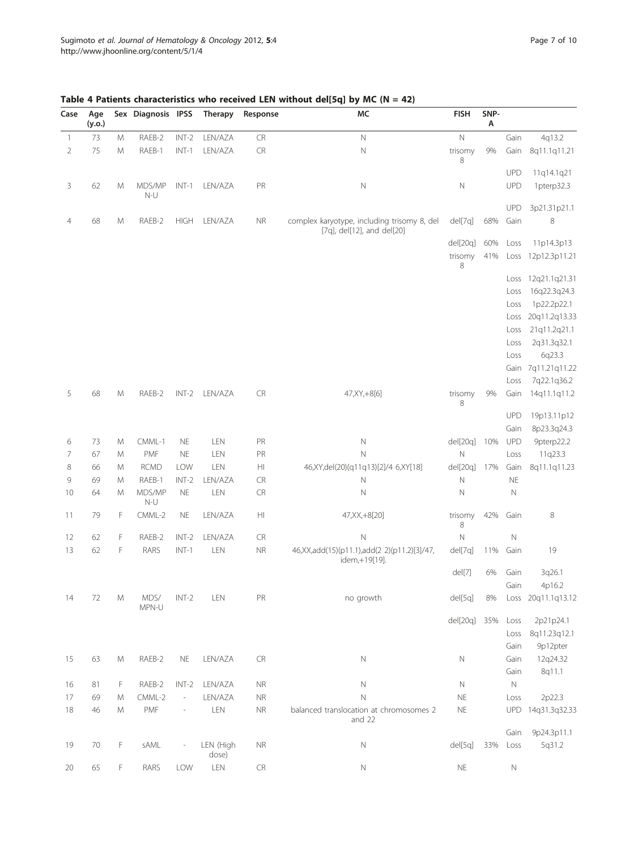| Case           | Age<br>(y.o.) |               | Sex Diagnosis IPSS |                          | <b>Therapy</b>     | Response               | MC                                                                        | <b>FISH</b>          | SNP-<br>Α |              |                             |
|----------------|---------------|---------------|--------------------|--------------------------|--------------------|------------------------|---------------------------------------------------------------------------|----------------------|-----------|--------------|-----------------------------|
| 1              | 73            | M             | RAEB-2             | $INT-2$                  | LEN/AZA            | CR                     | $\hbox{N}$                                                                | Ν                    |           | Gain         | 4q13.2                      |
| $\overline{2}$ | 75            | M             | RAEB-1             | $INT-1$                  | LEN/AZA            | CR                     | N                                                                         | trisomy<br>8         | 9%        | Gain         | 8q11.1q11.21                |
|                |               |               |                    |                          |                    |                        |                                                                           |                      |           | <b>UPD</b>   | 11q14.1q21                  |
| 3              | 62            | M             | MDS/MP<br>$N-U$    | $INT-1$                  | LEN/AZA            | PR                     | $\mathbb N$                                                               | Ν                    |           | UPD          | 1pterp32.3                  |
|                |               |               |                    |                          |                    |                        |                                                                           |                      |           | <b>UPD</b>   | 3p21.31p21.1                |
| 4              | 68            | M             | RAEB-2             | <b>HIGH</b>              | LEN/AZA            | <b>NR</b>              | complex karyotype, including trisomy 8, del<br>[7q], del[12], and del[20] | del[7q]              | 68%       | Gain         | 8                           |
|                |               |               |                    |                          |                    |                        |                                                                           | del[20q]             | 60%       | Loss         | 11p14.3p13                  |
|                |               |               |                    |                          |                    |                        |                                                                           | trisomy<br>8         | 41%       | Loss         | 12p12.3p11.21               |
|                |               |               |                    |                          |                    |                        |                                                                           |                      |           | Loss         | 12q21.1q21.31               |
|                |               |               |                    |                          |                    |                        |                                                                           |                      |           | Loss         | 16q22.3q24.3                |
|                |               |               |                    |                          |                    |                        |                                                                           |                      |           | Loss         | 1p22.2p22.1                 |
|                |               |               |                    |                          |                    |                        |                                                                           |                      |           | Loss         | 20q11.2q13.33               |
|                |               |               |                    |                          |                    |                        |                                                                           |                      |           | Loss         | 21q11.2q21.1<br>2q31.3q32.1 |
|                |               |               |                    |                          |                    |                        |                                                                           |                      |           | Loss<br>Loss | 6q23.3                      |
|                |               |               |                    |                          |                    |                        |                                                                           |                      |           | Gain         | 7q11.21q11.22               |
|                |               |               |                    |                          |                    |                        |                                                                           |                      |           | Loss         | 7q22.1q36.2                 |
| 5              | 68            | M             | RAEB-2             | $INT-2$                  | LEN/AZA            | <b>CR</b>              | 47, XY, +8[6]                                                             | trisomy<br>8         | 9%        | Gain         | 14q11.1q11.2                |
|                |               |               |                    |                          |                    |                        |                                                                           |                      |           | <b>UPD</b>   | 19p13.11p12                 |
|                |               |               |                    |                          |                    |                        |                                                                           |                      |           | Gain         | 8p23.3q24.3                 |
| 6              | 73            | M             | CMML-1             | <b>NE</b>                | LEN                | PR                     | $\mathbb N$                                                               | del[20q]             | 10%       | <b>UPD</b>   | 9pterp22.2                  |
| 7              | 67            | M             | PMF                | <b>NE</b>                | LEN                | PR                     | N                                                                         | Ν                    |           | Loss         | 11q23.3                     |
| 8              | 66            | M             | <b>RCMD</b>        | LOW                      | LEN                | HI                     | 46, XY, del(20) (q11q13) [2] / 46, XY [18]                                | del[20q]             | 17%       | Gain         | 8q11.1q11.23                |
| 9              | 69            | M             | RAEB-1             | INT-2                    | LEN/AZA            | CR                     | N                                                                         | Ν                    |           | <b>NE</b>    |                             |
| 10             | 64            | M             | MDS/MP<br>$N-U$    | <b>NE</b>                | LEN                | <b>CR</b>              | N                                                                         | Ν                    |           | N            |                             |
| 11             | 79            | F             | CMML-2             | <b>NE</b>                | LEN/AZA            | $\mathsf{H}\mathsf{I}$ | 47, XX, +8[20]                                                            | trisomy<br>8         | 42%       | Gain         | 8                           |
| 12             | 62            | F             | RAEB-2             | $INT-2$                  | LEN/AZA            | <b>CR</b>              | $\mathbb N$                                                               | Ν                    |           | $\mathbb N$  |                             |
| 13             | 62            | F             | RARS               | $INT-1$                  | LEN                | <b>NR</b>              | 46, XX, add(15)(p11.1), add(2 2)(p11.2)[3]/47,<br>idem,+19[19].           | del[7q]              | 11%       | Gain         | 19                          |
|                |               |               |                    |                          |                    |                        |                                                                           | del[7]               | 6%        | Gain<br>Gain | 3q26.1<br>4p16.2            |
| 14             | 72            | M             | MDS/<br>MPN-U      | $INT-2$                  | LEN                | PR                     | no growth                                                                 | del[5q]              | 8%        |              | Loss 20q11.1q13.12          |
|                |               |               |                    |                          |                    |                        |                                                                           | del[20q] 35%         |           | Loss         | 2p21p24.1                   |
|                |               |               |                    |                          |                    |                        |                                                                           |                      |           | Loss         | 8q11.23q12.1                |
|                |               |               |                    |                          |                    |                        |                                                                           |                      |           | Gain         | 9p12pter                    |
| 15             | 63            | ${\mathsf M}$ | RAEB-2             | <b>NE</b>                | LEN/AZA            | ${\sf CR}$             | N                                                                         | Ν                    |           | Gain         | 12q24.32                    |
|                |               |               |                    |                          |                    |                        |                                                                           |                      |           | Gain         | 8q11.1                      |
| 16             | 81            | F             | RAEB-2             | $INT-2$                  | LEN/AZA            | <b>NR</b>              | $\mathbb N$                                                               | $\hbox{N}$           |           | $\mathbb N$  |                             |
| 17             | 69            | M             | CMML-2             | $\overline{\phantom{a}}$ | LEN/AZA            | <b>NR</b>              | N                                                                         | <b>NE</b>            |           | Loss         | 2p22.3                      |
| 18             | 46            | M             | PMF                | $\overline{\phantom{0}}$ | LEN                | <b>NR</b>              | balanced translocation at chromosomes 2<br>and 22                         | $\mathsf{NE}\xspace$ |           | <b>UPD</b>   | 14q31.3q32.33               |
|                |               |               |                    |                          |                    |                        |                                                                           |                      |           | Gain         | 9p24.3p11.1                 |
| 19             | 70            | F             | sAML               |                          | LEN (High<br>dose) | <b>NR</b>              | $\hbox{N}$                                                                | del[5q]              | 33%       | Loss         | 5q31.2                      |
| 20             | 65            | F             | RARS               | LOW                      | LEN                | CR                     | $\mathbb N$                                                               | <b>NE</b>            |           | $\hbox{N}$   |                             |

<span id="page-6-0"></span>Table 4 Patients characteristics who received LEN without del[5q] by MC (N = 42)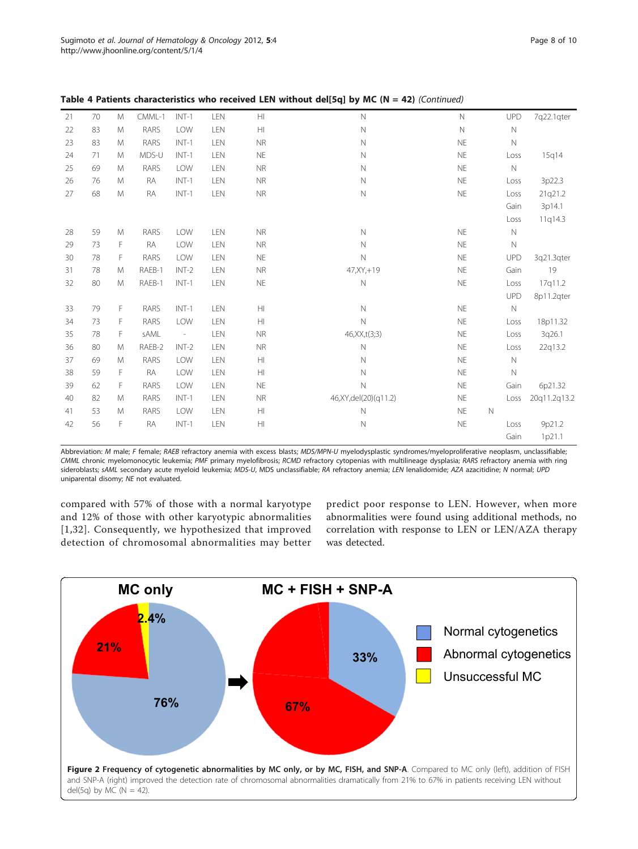| 21 | 70 | M | CMML-1    | $INT-1$                  | LEN | $\mathsf{H}\mathsf{I}$ | $\hbox{N}$              | $\mathsf{N}$ |             | UPD         | 7q22.1qter   |
|----|----|---|-----------|--------------------------|-----|------------------------|-------------------------|--------------|-------------|-------------|--------------|
| 22 | 83 | M | RARS      | LOW                      | LEN | $\mathbb H$            | $\hbox{N}$              | $\mathbb N$  |             | $\mathbb N$ |              |
| 23 | 83 | M | RARS      | $INT-1$                  | LEN | <b>NR</b>              | $\hbox{N}$              | <b>NE</b>    |             | $\mathbb N$ |              |
| 24 | 71 | M | MDS-U     | $INT-1$                  | LEN | <b>NE</b>              | $\hbox{N}$              | <b>NE</b>    |             | Loss        | 15q14        |
| 25 | 69 | M | RARS      | LOW                      | LEN | <b>NR</b>              | $\mathbb N$             | <b>NE</b>    |             | $\mathbb N$ |              |
| 26 | 76 | M | RA        | $INT-1$                  | LEN | <b>NR</b>              | $\hbox{N}$              | <b>NE</b>    |             | Loss        | 3p22.3       |
| 27 | 68 | M | RA        | $INT-1$                  | LEN | <b>NR</b>              | $\mathsf{N}$            | <b>NE</b>    |             | Loss        | 21q21.2      |
|    |    |   |           |                          |     |                        |                         |              |             | Gain        | 3p14.1       |
|    |    |   |           |                          |     |                        |                         |              |             | Loss        | 11q14.3      |
| 28 | 59 | M | RARS      | LOW                      | LEN | <b>NR</b>              | $\mathbb N$             | <b>NE</b>    |             | $\mathbb N$ |              |
| 29 | 73 | F | <b>RA</b> | LOW                      | LEN | <b>NR</b>              | $\mathbb N$             | <b>NE</b>    |             | $\mathbb N$ |              |
| 30 | 78 | F | RARS      | LOW                      | LEN | <b>NE</b>              | $\mathbb N$             | <b>NE</b>    |             | <b>UPD</b>  | 3q21.3qter   |
| 31 | 78 | M | RAEB-1    | $INT-2$                  | LEN | <b>NR</b>              | 47, XY, +19             | <b>NE</b>    |             | Gain        | 19           |
| 32 | 80 | M | RAEB-1    | $INT-1$                  | LEN | <b>NE</b>              | $\hbox{N}$              | <b>NE</b>    |             | Loss        | 17q11.2      |
|    |    |   |           |                          |     |                        |                         |              |             | <b>UPD</b>  | 8p11.2qter   |
| 33 | 79 | F | RARS      | $INT-1$                  | LEN | H                      | $\mathbb N$             | <b>NE</b>    |             | $\mathbb N$ |              |
| 34 | 73 | F | RARS      | LOW                      | LEN | H                      | $\mathbb N$             | <b>NE</b>    |             | Loss        | 18p11.32     |
| 35 | 78 | F | sAML      | $\overline{\phantom{a}}$ | LEN | <b>NR</b>              | 46, XX, t(3; 3)         | <b>NE</b>    |             | Loss        | 3q26.1       |
| 36 | 80 | M | RAEB-2    | $INT-2$                  | LEN | <b>NR</b>              | $\mathsf{N}$            | <b>NE</b>    |             | Loss        | 22q13.2      |
| 37 | 69 | M | RARS      | LOW                      | LEN | $\mathbb H$            | $\hbox{N}$              | <b>NE</b>    |             | $\mathbb N$ |              |
| 38 | 59 | F | RA        | LOW                      | LEN | H                      | $\mathsf{N}$            | <b>NE</b>    |             | $\mathbb N$ |              |
| 39 | 62 | F | RARS      | LOW                      | LEN | <b>NE</b>              | $\mathbb N$             | <b>NE</b>    |             | Gain        | 6p21.32      |
| 40 | 82 | M | RARS      | $INT-1$                  | LEN | <b>NR</b>              | 46, XY, del(20) (q11.2) | <b>NE</b>    |             | Loss        | 20q11.2q13.2 |
| 41 | 53 | M | RARS      | LOW                      | LEN | $\mathbb H$            | $\mathbb N$             | <b>NE</b>    | $\mathbb N$ |             |              |
| 42 | 56 | F | <b>RA</b> | $INT-1$                  | LEN | $\mathbb H$            | $\hbox{N}$              | <b>NE</b>    |             | Loss        | 9p21.2       |
|    |    |   |           |                          |     |                        |                         |              |             | Gain        | 1p21.1       |

<span id="page-7-0"></span>Table 4 Patients characteristics who received LEN without dell5ql by MC (N = 42) (Continued)

Abbreviation: M male; F female; RAEB refractory anemia with excess blasts; MDS/MPN-U myelodysplastic syndromes/myeloproliferative neoplasm, unclassifiable; CMML chronic myelomonocytic leukemia; PMF primary myelofibrosis; RCMD refractory cytopenias with multilineage dysplasia; RARS refractory anemia with ring sideroblasts; sAML secondary acute myeloid leukemia; MDS-U, MDS unclassifiable; RA refractory anemia; LEN lenalidomide; AZA azacitidine; N normal; UPD uniparental disomy; NE not evaluated.

compared with 57% of those with a normal karyotype and 12% of those with other karyotypic abnormalities [[1](#page-8-0),[32](#page-9-0)]. Consequently, we hypothesized that improved detection of chromosomal abnormalities may better

predict poor response to LEN. However, when more abnormalities were found using additional methods, no correlation with response to LEN or LEN/AZA therapy was detected.

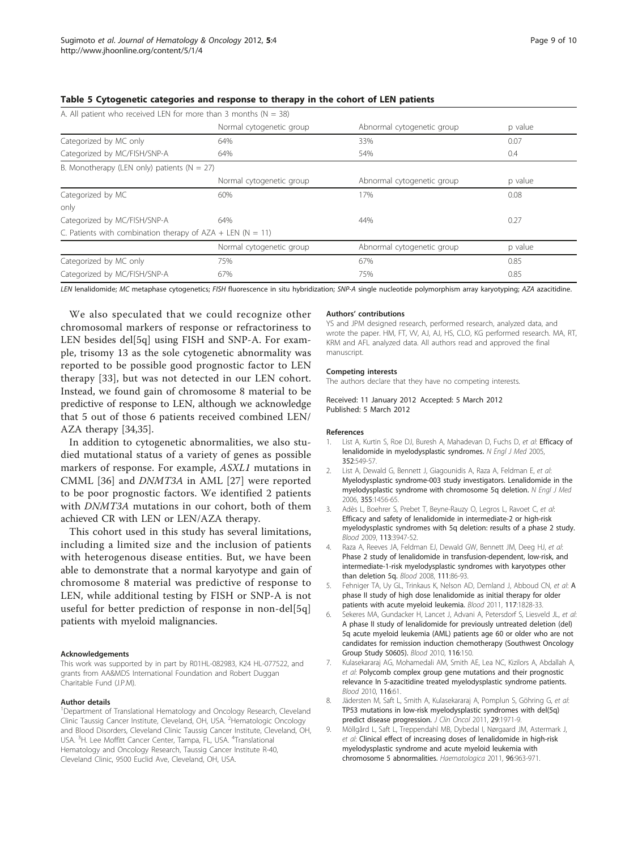| A. All patient who received LEN for more than 3 months ( $N = 38$ ) |                          |                            |         |  |  |  |  |  |  |
|---------------------------------------------------------------------|--------------------------|----------------------------|---------|--|--|--|--|--|--|
|                                                                     | Normal cytogenetic group | Abnormal cytogenetic group | p value |  |  |  |  |  |  |
| Categorized by MC only                                              | 64%                      | 33%                        | 0.07    |  |  |  |  |  |  |
| Categorized by MC/FISH/SNP-A                                        | 64%                      | 54%                        | 0.4     |  |  |  |  |  |  |
| B. Monotherapy (LEN only) patients ( $N = 27$ )                     |                          |                            |         |  |  |  |  |  |  |
|                                                                     | Normal cytogenetic group | Abnormal cytogenetic group | p value |  |  |  |  |  |  |
| Categorized by MC                                                   | 60%                      | 17%                        | 0.08    |  |  |  |  |  |  |
| only                                                                |                          |                            |         |  |  |  |  |  |  |
| Categorized by MC/FISH/SNP-A                                        | 64%                      | 44%                        | 0.27    |  |  |  |  |  |  |
| C. Patients with combination therapy of $AZA + LEN (N = 11)$        |                          |                            |         |  |  |  |  |  |  |
|                                                                     | Normal cytogenetic group | Abnormal cytogenetic group | p value |  |  |  |  |  |  |
| Categorized by MC only                                              | 75%                      | 67%                        | 0.85    |  |  |  |  |  |  |
| Categorized by MC/FISH/SNP-A                                        | 67%                      | 75%                        | 0.85    |  |  |  |  |  |  |

#### <span id="page-8-0"></span>Table 5 Cytogenetic categories and response to therapy in the cohort of LEN patients

LEN lenalidomide; MC metaphase cytogenetics; FISH fluorescence in situ hybridization; SNP-A single nucleotide polymorphism array karyotyping; AZA azacitidine.

We also speculated that we could recognize other chromosomal markers of response or refractoriness to LEN besides del<sup>[5q]</sup> using FISH and SNP-A. For example, trisomy 13 as the sole cytogenetic abnormality was reported to be possible good prognostic factor to LEN therapy [\[33](#page-9-0)], but was not detected in our LEN cohort. Instead, we found gain of chromosome 8 material to be predictive of response to LEN, although we acknowledge that 5 out of those 6 patients received combined LEN/ AZA therapy [[34](#page-9-0),[35](#page-9-0)].

In addition to cytogenetic abnormalities, we also studied mutational status of a variety of genes as possible markers of response. For example, ASXL1 mutations in CMML [\[36](#page-9-0)] and DNMT3A in AML [[27\]](#page-9-0) were reported to be poor prognostic factors. We identified 2 patients with DNMT3A mutations in our cohort, both of them achieved CR with LEN or LEN/AZA therapy.

This cohort used in this study has several limitations, including a limited size and the inclusion of patients with heterogenous disease entities. But, we have been able to demonstrate that a normal karyotype and gain of chromosome 8 material was predictive of response to LEN, while additional testing by FISH or SNP-A is not useful for better prediction of response in non-del[5q] patients with myeloid malignancies.

#### Acknowledgements

This work was supported by in part by R01HL-082983, K24 HL-077522, and grants from AA&MDS International Foundation and Robert Duggan Charitable Fund (J.P.M).

#### Author details

<sup>1</sup>Department of Translational Hematology and Oncology Research, Cleveland Clinic Taussig Cancer Institute, Cleveland, OH, USA. <sup>2</sup> Hematologic Oncology and Blood Disorders, Cleveland Clinic Taussig Cancer Institute, Cleveland, OH, USA. <sup>3</sup>H. Lee Moffitt Cancer Center, Tampa, FL, USA. <sup>4</sup>Translational Hematology and Oncology Research, Taussig Cancer Institute R-40, Cleveland Clinic, 9500 Euclid Ave, Cleveland, OH, USA.

#### Authors' contributions

YS and JPM designed research, performed research, analyzed data, and wrote the paper. HM, FT, VV, AJ, AJ, HS, CLO, KG performed research. MA, RT, KRM and AFL analyzed data. All authors read and approved the final manuscript.

#### Competing interests

The authors declare that they have no competing interests.

Received: 11 January 2012 Accepted: 5 March 2012 Published: 5 March 2012

#### References

- 1. List A, Kurtin S, Roe DJ, Buresh A, Mahadevan D, Fuchs D, et al: **[Efficacy of](http://www.ncbi.nlm.nih.gov/pubmed/15703420?dopt=Abstract)** [lenalidomide in myelodysplastic syndromes.](http://www.ncbi.nlm.nih.gov/pubmed/15703420?dopt=Abstract) N Engl J Med 2005, 352:549-57.
- 2. List A, Dewald G, Bennett J, Giagounidis A, Raza A, Feldman E, et al: [Myelodysplastic syndrome-003 study investigators. Lenalidomide in the](http://www.ncbi.nlm.nih.gov/pubmed/17021321?dopt=Abstract) [myelodysplastic syndrome with chromosome 5q deletion.](http://www.ncbi.nlm.nih.gov/pubmed/17021321?dopt=Abstract) N Engl J Med 2006, 355:1456-65.
- 3. Adès L, Boehrer S, Prebet T, Beyne-Rauzy O, Legros L, Ravoet C, et al: [Efficacy and safety of lenalidomide in intermediate-2 or high-risk](http://www.ncbi.nlm.nih.gov/pubmed/18987358?dopt=Abstract) [myelodysplastic syndromes with 5q deletion: results of a phase 2 study.](http://www.ncbi.nlm.nih.gov/pubmed/18987358?dopt=Abstract) Blood 2009, 113:3947-52.
- 4. Raza A, Reeves JA, Feldman EJ, Dewald GW, Bennett JM, Deeg HJ, et al: [Phase 2 study of lenalidomide in transfusion-dependent, low-risk, and](http://www.ncbi.nlm.nih.gov/pubmed/17893227?dopt=Abstract) [intermediate-1-risk myelodysplastic syndromes with karyotypes other](http://www.ncbi.nlm.nih.gov/pubmed/17893227?dopt=Abstract) [than deletion 5q.](http://www.ncbi.nlm.nih.gov/pubmed/17893227?dopt=Abstract) Blood 2008, 111:86-93.
- Fehniger T[A](http://www.ncbi.nlm.nih.gov/pubmed/21051557?dopt=Abstract), Uy GL, Trinkaus K, Nelson AD, Demland J, Abboud CN, et al: A [phase II study of high dose lenalidomide as initial therapy for older](http://www.ncbi.nlm.nih.gov/pubmed/21051557?dopt=Abstract) [patients with acute myeloid leukemia.](http://www.ncbi.nlm.nih.gov/pubmed/21051557?dopt=Abstract) Blood 2011, 117:1828-33.
- 6. Sekeres MA, Gundacker H, Lancet J, Advani A, Petersdorf S, Liesveld JL, et al: A phase II study of lenalidomide for previously untreated deletion (del) 5q acute myeloid leukemia (AML) patients age 60 or older who are not candidates for remission induction chemotherapy (Southwest Oncology Group Study S0605). Blood 2010, 116:150.
- 7. Kulasekararaj AG, Mohamedali AM, Smith AE, Lea NC, Kizilors A, Abdallah A, et al: Polycomb complex group gene mutations and their prognostic relevance In 5-azacitidine treated myelodysplastic syndrome patients. Blood 2010, 116:61.
- 8. Jädersten M, Saft L, Smith A, Kulasekararaj A, Pomplun S, Göhring G, et al: [TP53 mutations in low-risk myelodysplastic syndromes with del\(5q\)](http://www.ncbi.nlm.nih.gov/pubmed/21519010?dopt=Abstract) [predict disease progression.](http://www.ncbi.nlm.nih.gov/pubmed/21519010?dopt=Abstract) J Clin Oncol 2011, 29:1971-9.
- 9. Möllgård L, Saft L, Treppendahl MB, Dybedal I, Nørgaard JM, Astermark J, et al: [Clinical effect of increasing doses of lenalidomide in high-risk](http://www.ncbi.nlm.nih.gov/pubmed/21719884?dopt=Abstract) [myelodysplastic syndrome and acute myeloid leukemia with](http://www.ncbi.nlm.nih.gov/pubmed/21719884?dopt=Abstract) [chromosome 5 abnormalities.](http://www.ncbi.nlm.nih.gov/pubmed/21719884?dopt=Abstract) Haematologica 2011, 96:963-971.